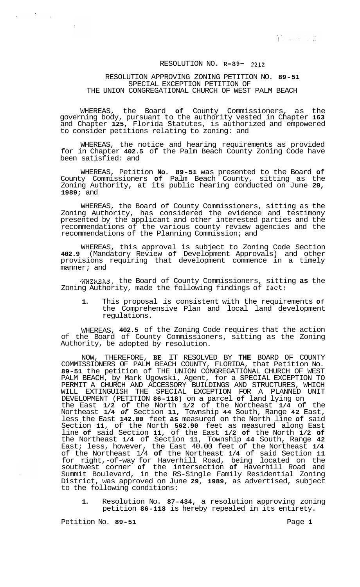## RESOLUTION NO. **R-89-** 2212

## RESOLUTION APPROVING ZONING PETITION NO. **89-51**  THE UNION CONGREGATIONAL CHURCH OF WEST PALM BEACH SPECIAL EXCEPTION PETITION OF

WHEREAS, the Board **of** County Commissioners, as the governing body, pursuant to the authority vested in Chapter **163**  and Chapter **125,** Florida Statutes, is authorized and empowered to consider petitions relating to zoning: and

WHEREAS, the notice and hearing requirements as provided for in Chapter **402.5** of the Palm Beach County Zoning Code have been satisfied: and

WHEREAS, Petition **No. 89-51** was presented to the Board **of**  County Commissioners **of** Palm Beach County, sitting as the Zoning Authority, at its public hearing conducted on June **29, 1989;** and

WHEREAS, the Board of County Commissioners, sitting as the Zoning Authority, has considered the evidence and testimony presented by the applicant and other interested parties and the recommendations of the various county review agencies and the recommendations of the Planning Commission; and

WHEREAS, this approval is subject to Zoning Code Section **402.9** (Mandatory Review **of** Development Approvals) and other provisions requiring that development commence in a timely manner; and

WHEREAS, the Board of County Commissioners, sitting **as** the Zoning Authority, made the following findings of fact:

**1.** This proposal is consistent with the requirements **Of**  the Comprehensive Plan and local land development regulations.

WHEREAS, **402.5** of the Zoning Code requires that the action of the Board of County Commissioners, sitting as the Zoning Authority, be adopted by resolution.

NOW, THEREFORE, **BE** IT RESOLVED BY **THE** BOARD OF COUNTY COMMISSIONERS OF PALM BEACH COUNTY, FLORIDA, that Petition No. **89-51** the petition of THE UNION CONGREGATIONAL CHURCH OF WEST PALM BEACH, by Mark Ugowski, Agent, for a SPECIAL EXCEPTION TO PERMIT A CHURCH AND ACCESSORY BUILDINGS AND STRUCTURES, WHICH WILL EXTINGUISH THE SPECIAL EXCEPTION FOR A PLANNED UNIT DEVELOPMENT (PETITION **86-118)** on a parcel **of** land lying on the East **1/2** of the North **1/2** of the Northeast **1/4** of the Northeast **1/4** *of* Section **11,** Township **44** South, Range **42** East, less the East **142.00** feet **as** measured on the North line **of** said Section **11,** of the North **562.90** feet as measured along East line **of** said Section **11,** of the East **1/2 of** the North **1/2 of**  the Northeast **1/4** of Section **11,** Township **44** South, Range **42**  East; less, however, the East 40.00 feet of the Northeast **1/4**  of the Northeast 1/4 **of** the Northeast **1/4** of said Section **11**  for right,-of-way for Haverhill Road, being located on the southwest corner **of** the intersection **of** Haverhill Road and Summit Boulevard, in the RS-Single Family Residential Zoning District, was approved on June **29, 1989,** as advertised, subject to the following conditions:

**1.** Resolution No. **87-434,** a resolution approving zoning petition **86-118** is hereby repealed in its entirety.

Petition No. 89-51 **Page 1 Page 1** 

 $\sim$   $\omega$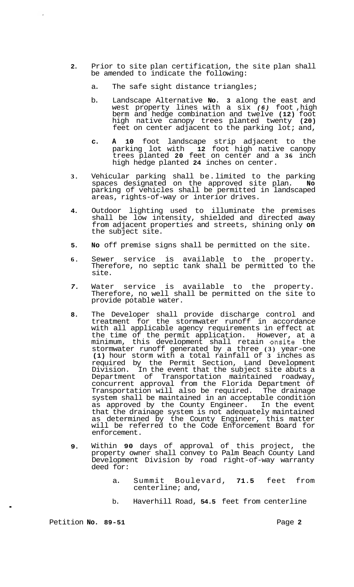- **2.**  Prior to site plan certification, the site plan shall be amended to indicate the following:
	- a. The safe sight distance triangles;
	- b. Landscape Alternative **No. 3** along the east and west property lines with a six *(6)* foot ,high berm and hedge combination and twelve **(12)** foot high native canopy trees planted twenty **(20)**  feet on center adjacent to the parking lot; and,
	- **c. A 10** foot landscape strip adjacent to the parking lot with **12** foot high native canopy trees planted **20** feet on center and a **36** inch high hedge planted **24** inches on center.
- **3.**  Vehicular parking shall be. limited to the parking spaces designated on the approved site plan. **No**  parking of vehicles shall be permitted in landscaped areas, rights-of-way or interior drives.
- **4.**  Outdoor lighting used to illuminate the premises shall be low intensity, shielded and directed away from adjacent properties and streets, shining only **on**  the subject site.
- **5. No** off premise signs shall be permitted on the site.
- **6.**  Sewer service is available to the property. Therefore, no septic tank shall be permitted to the site.
- *7.*  Water service is available to the property. Therefore, no well shall be permitted on the site to provide potable water.
- **8.**  The Developer shall provide discharge control and treatment for the stormwater runoff in accordance with all applicable agency requirements in effect at the time of the permit application. However, at a minimum, this development shall retain onsite the stormwater runoff generated by a three **(3)** year-one **(1)** hour storm with a total rainfall of **3** inches as required by the Permit Section, Land Development Division. In the event that the subject site abuts a Department of Transportation maintained roadway, concurrent approval from the Florida Department of Transportation will also be required. The drainage system shall be maintained in an acceptable condition as approved by the County Engineer. In the event that the drainage system is not adequately maintained as determined by the County Engineer, this matter will be referred to the Code Enforcement Board for enforcement.
- **9.**  Within **90** days of approval of this project, the property owner shall convey to Palm Beach County Land Development Division by road right-of-way warranty deed for:
	- a. Summit Boulevard, **71.5** feet from centerline; and,
	- b. Haverhill Road, **54.5** feet from centerline

Petition **No.** 89-51 **Page 2 Page 2** 

.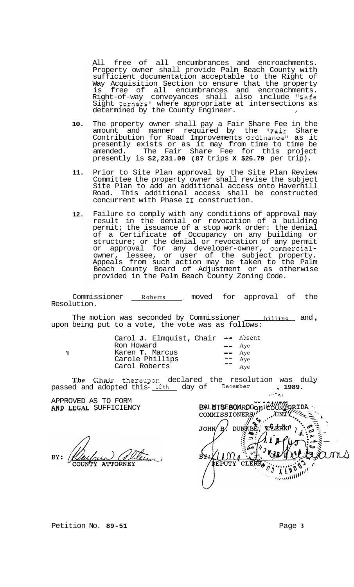All free of all encumbrances and encroachments. Property owner shall provide Palm Beach County with sufficient documentation acceptable to the Right of Way Acquisition Section to ensure that the property is free of all encumbrances and encroachments. Right-of-way conveyances shall also include "Safe sight Corners" where appropriate at intersections as determined by the County Engineer.

- **10.**  The property owner shall pay a Fair Share Fee in the amount and manner required by the "Fair Share Contribution for Road Improvements Ordinance" as it presently exists or as it may from time to time be amended. The Fair Share Fee for this project presently is **\$2,231.00 (87** trips **X \$26.79** per trip).
- **11.**  Prior to Site Plan approval by the Site Plan Review Committee the property owner shall revise the subject Site Plan to add an additional access onto Haverhill Road. This additional access shall be constructed concurrent with Phase **I1** construction.
- **12.**  Failure to comply with any conditions of approval may result in the denial or revocation of a building permit; the issuance of a stop work order: the denial of a Certificate **of** Occupancy on any building or structure; or the denial or revocation of any permit or approval for any developer-owner, commercialowner, lessee, or user of the subject property. Appeals from such action may be taken to the Palm Beach County Board of Adjustment or as otherwise provided in the Palm Beach County Zoning Code.

Commissioner Roberts moved for approval of the Resolution.

The motion was seconded by Commissioner <u>and</u> ind, upon being put to a vote, the vote was as follows:

'I

| Carol J. Elmquist, Chair | ⊷— Absent                                                                           |
|--------------------------|-------------------------------------------------------------------------------------|
| Ron Howard               | $\leftarrow$ Aye                                                                    |
| Karen T. Marcus          | $\leftarrow$ Aye                                                                    |
| Carole Phillips          | $\begin{array}{cc} \n\text{I} & \text{Aye} \\ \text{Aye} & \text{Aye}\n\end{array}$ |
| Carol Roberts            |                                                                                     |

The Chair thereupon declared the resolution was duly passed and adopted this- $\frac{12th}{\text{day of}}$  December , 1989. **...** , 1989.

APPROVED AS TO FORM<br>AND LEGAL SUFFICIENCY

**B**&LMTBEBOARDOORILOOKTORIDA<br>
COMMISSIONER<sub>8</sub><sup>11</sup>, JUNTY , Jeeper DUNKHE,  $\mathsf{B}'$ **CELERKO** JOHN **BK:** DEPUTY t)  $\frac{\partial^2 \mathbf{u} \mathbf{u} \mathbf{u}^H \mathbf{u}^H}{\partial \mathbf{u}^H}$